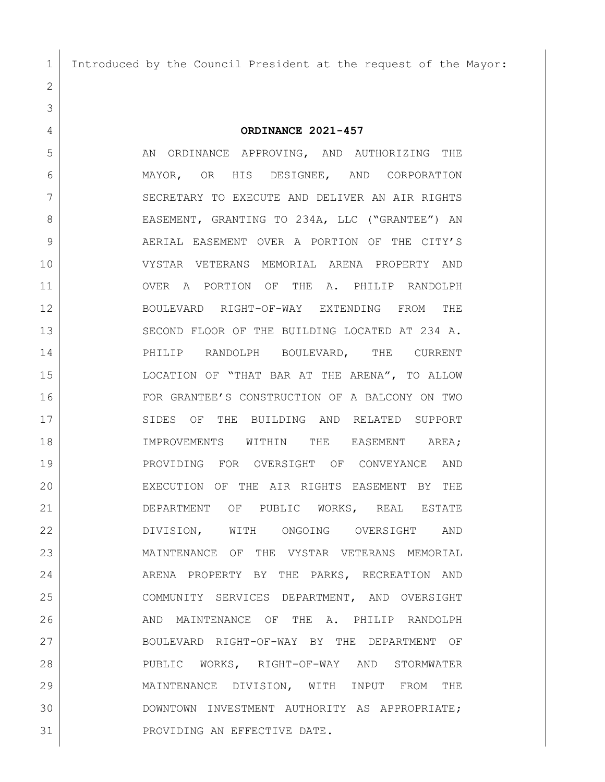Introduced by the Council President at the request of the Mayor:

**ORDINANCE 2021-457**

5 AN ORDINANCE APPROVING, AND AUTHORIZING THE MAYOR, OR HIS DESIGNEE, AND CORPORATION 7 SECRETARY TO EXECUTE AND DELIVER AN AIR RIGHTS 8 EASEMENT, GRANTING TO 234A, LLC ("GRANTEE") AN 9 AERIAL EASEMENT OVER A PORTION OF THE CITY'S VYSTAR VETERANS MEMORIAL ARENA PROPERTY AND OVER A PORTION OF THE A. PHILIP RANDOLPH BOULEVARD RIGHT-OF-WAY EXTENDING FROM THE SECOND FLOOR OF THE BUILDING LOCATED AT 234 A. PHILIP RANDOLPH BOULEVARD, THE CURRENT LOCATION OF "THAT BAR AT THE ARENA", TO ALLOW FOR GRANTEE'S CONSTRUCTION OF A BALCONY ON TWO 17 SIDES OF THE BUILDING AND RELATED SUPPORT IMPROVEMENTS WITHIN THE EASEMENT AREA; PROVIDING FOR OVERSIGHT OF CONVEYANCE AND EXECUTION OF THE AIR RIGHTS EASEMENT BY THE DEPARTMENT OF PUBLIC WORKS, REAL ESTATE DIVISION, WITH ONGOING OVERSIGHT AND MAINTENANCE OF THE VYSTAR VETERANS MEMORIAL ARENA PROPERTY BY THE PARKS, RECREATION AND COMMUNITY SERVICES DEPARTMENT, AND OVERSIGHT 26 AND MAINTENANCE OF THE A. PHILIP RANDOLPH BOULEVARD RIGHT-OF-WAY BY THE DEPARTMENT OF PUBLIC WORKS, RIGHT-OF-WAY AND STORMWATER MAINTENANCE DIVISION, WITH INPUT FROM THE DOWNTOWN INVESTMENT AUTHORITY AS APPROPRIATE; PROVIDING AN EFFECTIVE DATE.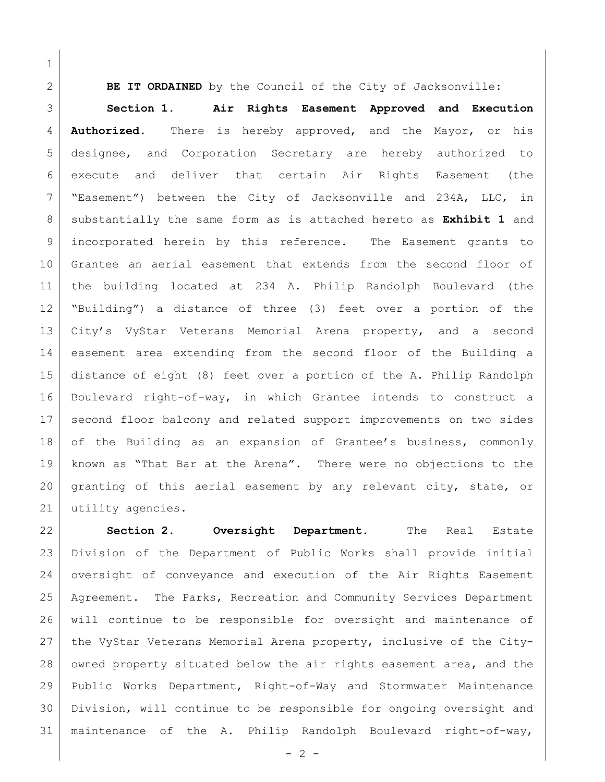**BE IT ORDAINED** by the Council of the City of Jacksonville:

 **Section 1**. **Air Rights Easement Approved and Execution Authorized.** There is hereby approved, and the Mayor, or his designee, and Corporation Secretary are hereby authorized to execute and deliver that certain Air Rights Easement (the "Easement") between the City of Jacksonville and 234A, LLC, in substantially the same form as is attached hereto as **Exhibit 1** and incorporated herein by this reference. The Easement grants to Grantee an aerial easement that extends from the second floor of the building located at 234 A. Philip Randolph Boulevard (the "Building") a distance of three (3) feet over a portion of the City's VyStar Veterans Memorial Arena property, and a second easement area extending from the second floor of the Building a distance of eight (8) feet over a portion of the A. Philip Randolph Boulevard right-of-way, in which Grantee intends to construct a second floor balcony and related support improvements on two sides 18 of the Building as an expansion of Grantee's business, commonly 19 | known as "That Bar at the Arena". There were no objections to the granting of this aerial easement by any relevant city, state, or utility agencies.

 **Section 2. Oversight Department.** The Real Estate Division of the Department of Public Works shall provide initial oversight of conveyance and execution of the Air Rights Easement Agreement. The Parks, Recreation and Community Services Department will continue to be responsible for oversight and maintenance of the VyStar Veterans Memorial Arena property, inclusive of the City-28 owned property situated below the air rights easement area, and the Public Works Department, Right-of-Way and Stormwater Maintenance Division, will continue to be responsible for ongoing oversight and maintenance of the A. Philip Randolph Boulevard right-of-way,

 $-2 -$